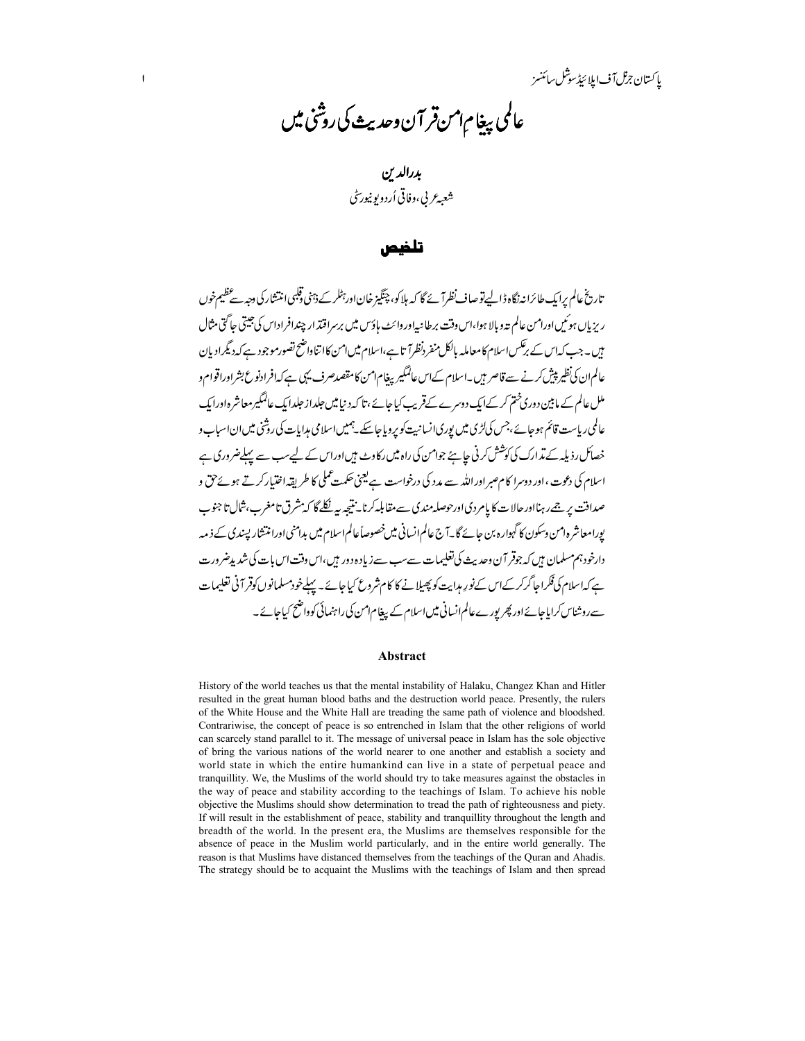باكستان جزل آف ابلا ئىڈسوشل سائنسز

# عالمي بيغام امن قر آن وحديث كى روشنى ميں

بددالدىن شعبه عربي، وفاقي أرد ويو نيورس<sup>ت</sup>ي

#### تلضم.

تاریخ عالم برایک طائرانه نگاه ڈالے تو صاف نظرآ ئے گا کہ ہلاکو، چنگیز خاناور تِٹلر کے ذہنی قلبی انتشار کی دجہ سے عظیم خوں ریزیاں ہوئیں اورامن عالم تدوبالا ہوا،اس دقت برطانیہ اوروائٹ ہاؤس میں برسراقتذار چندافراداس کی جیتی جاگتی مثال ہیں۔جب کہاس کے برعکس اسلام کامعاملہ بالکل منفر دنظرا تاہے،اسلام میں امن کاا تناواضح تصورموجود ہے کہ دیگرادیان عالم ان کی نظیر پیش کرنے سے قاصر بیں۔اسلام کےاس عالمگیریغام امن کا مقصدصرف یہی ہے کہ افرادنو ع بشر اوراقوام و ملل عالم کے مابین دوری ختم کر کےایک دوسرے کےقریب کیا جائے ،تا کہ د نیامیں جلداز جلدایک عالمگیرمعاشر ہ اورایک عالمی ریاست قائم ہوجائے ،جس کیاڑی میں پوری انسانیت کو پروباجاسکے۔ہمیں اسلامی مدایات کی روشی میں ان اسیاب و خصائل رذیلہ کے مذارک کی کوشش کرنی جاہئے جوامن کی راہ میں رکاوٹ ہیں اوراس کے لیےسب سے پہلےضروری ہے اسلام کی دعوت ،اور دوسرا کام صبر اوراللّٰہ سے مدد کی درخواست ہے یعنی حکمت عملی کا طریقہ اختیار کرتے ہوئے حق و صداقت پر جےرہنااورحالات کا پامردی اورحوصلہ مندی سے مقابلہ کرنا۔ نتیجہ بیر نکلے گا کہ شرق تامغرب، ثبال تا جنوب پورامعاشر ہ1من وسکون کا گہوارہ بن جائے گا۔آج عالم انسانی میں خصوصاً عالم اسلام میں بدامنی اورانتشار پسندی کے ذیبہ دارخودہم مسلمان ہیں کہ جوقر آن وحدیث کی تعلیمات سےسب سے زیادہ دور ہیں،اس وقت اس بات کی شدید ضرورت ہےکہاسلام کی فکرا جاگرکر کےاس کےنورِ مہانیت کو پھیلانے کا کام شروع کیاجائے۔ پہلےخودمسلمانوں کوقر آنی تعلیمات سےروشناس کرایاجائے اور پھر پورے عالم انسانی میں اسلام کے بیغام امن کی راہنمائی کوواضح کیاجائے۔

#### Abstract

History of the world teaches us that the mental instability of Halaku, Changez Khan and Hitler resulted in the great human blood baths and the destruction world peace. Presently, the rulers of the White House and the White Hall are treading the same path of violence and bloodshed. Contrariwise, the concept of peace is so entrenched in Islam that the other religions of world can scarcely stand parallel to it. The message of universal peace in Islam has the sole objective of bring the various nations of the world nearer to one another and establish a society and world state in which the entire humankind can live in a state of perpetual peace and tranquillity. We, the Muslims of the world should try to take measures against the obstacles in the way of peace and stability according to the teachings of Islam. To achieve his noble objective the Muslims should show determination to tread the path of righteousness and piety. If will result in the establishment of peace, stability and tranquillity throughout the length and breadth of the world. In the present era, the Muslims are themselves responsible for the absence of peace in the Muslim world particularly, and in the entire world generally. The reason is that Muslims have distanced themselves from the teachings of the Quran and Ahadis. The strategy should be to acquaint the Muslims with the teachings of Islam and then spread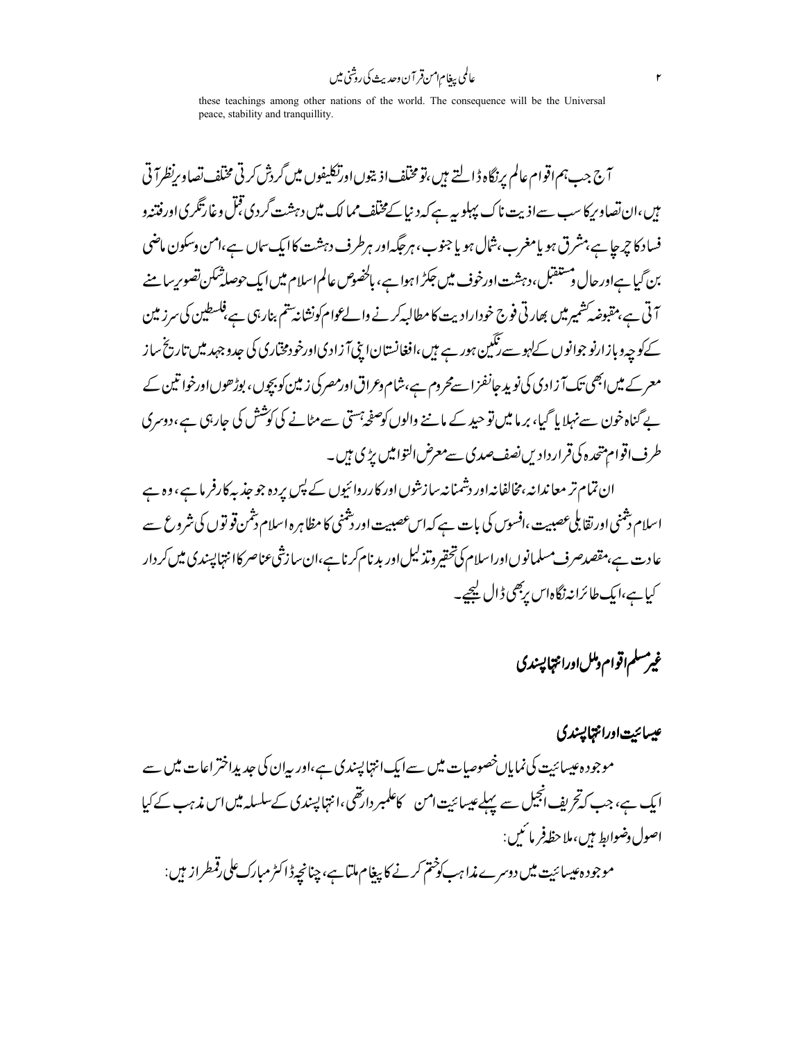عالمي بيغام امن قر آن وحديث کي روشني ميں

these teachings among other nations of the world. The consequence will be the Universal peace, stability and tranquillity.

آج جب ہم اقوام عالم پرنگاہ ڈالتے ہیں،تو مختلف اذینوں اورتکلیفوں میں گردش کرتی مختلف تصاویرنظرآ تی میں،ان تصاویر کا سب سےاذیت ناک پہلو ہ<sub>ی</sub>ے کہ دنی<u>ا ک</u>مختلف ممالک میں دہشت گردی قبل وغارتگری اورفتنہ و فساد کا چرجا ہے،مشرق ہو یامغرب،شال ہو یا جنوب، ہرجگہ اور ہرطرف دہشت کاایک ساں ہے،امن وسکون ماضی بن گیا ہےاور حال دستنقبل،دہشت اورخوف میں جکڑ اہوا ہے، بالخصوص عالم اسلام میں ایک حوصلۃُ مکن تصوریہ با منے آتی ہے،مقبوضہ شمیر میں بھارتی فوج خودارادیت کامطالبہ کرنے والے وام کونشانہ تتم بنارہی ہے،فلسطین کی سرز مین کے کو چہ دبازارنو جوانوں کےلہو سے ننگین ہور ہے ہیں،افغانستان! پنی آ زادیااورخودمختاری کی حدوجہد میں تاریخ ساز معر کے میں ابھی تک آ زادی کی نوید جانفزاسےمحروم ہے،شام وعراق اورمصرکی زمین کو بچوں ، بوڑھوں اورخوا تین کے بے گناہ خون سے نہلایا گیا، برما میں توحید کے ماننے والوں کوصفحہ جستی سے مٹانے کی کوشش کی جارہی ہے،دوسری طرف اقوام پتھرہ کی قرار دادیں نصف صدی سے معرض التوامیں پڑی ہیں۔

ان تمام تر معاندانہ،مخالفانہ اور دشمنانہ سازشوں اور کارروائیوں کے پس پردہ جو جذبہ کارفر ما ہے، وہ ہے اسلام دشنی اورتقابلی عصبیت ،افسوں کی بات ہے کہ اس عصبیت اور دشنی کا مظاہرہ اسلام دشمن قو توں کی شروع سے عادت ہے،مقصدصرف مسلمانوںاوراسلام کی تحقیر وتذلیل اور بدنام کرنا ہے،ان سازشی عناصر کاانتہا پسندی میں کر دار کیا ہے،ایک طائرانہ نگاہاس ربھی ڈال کیجیے۔

غيرمسلم اقوام دملل اورانتها پسندي

عيسائت اورانتهايسندي موجودہ عیسائیت کی نمایاںخصوصات میں سےایک انتہا پسندی ہے،اور یہان کی جدیداختر اعات میں سے ایک ہے، جب کہ تحریف انجیل سے پہلےعیسائیت امن کاعلمبر دارتھی،انتہا پسندی کےسلسلہ میں اس مذہب کے کیا اصول دضوابط بين،ملاحظ فر ما ئىس: موجود ہ عیسائیت میں دوسرے مذاہب کو څتم کرنے کا پیغام ملتاہے، چنانچہ ڈاکٹر مبارک علی رقمطراز میں: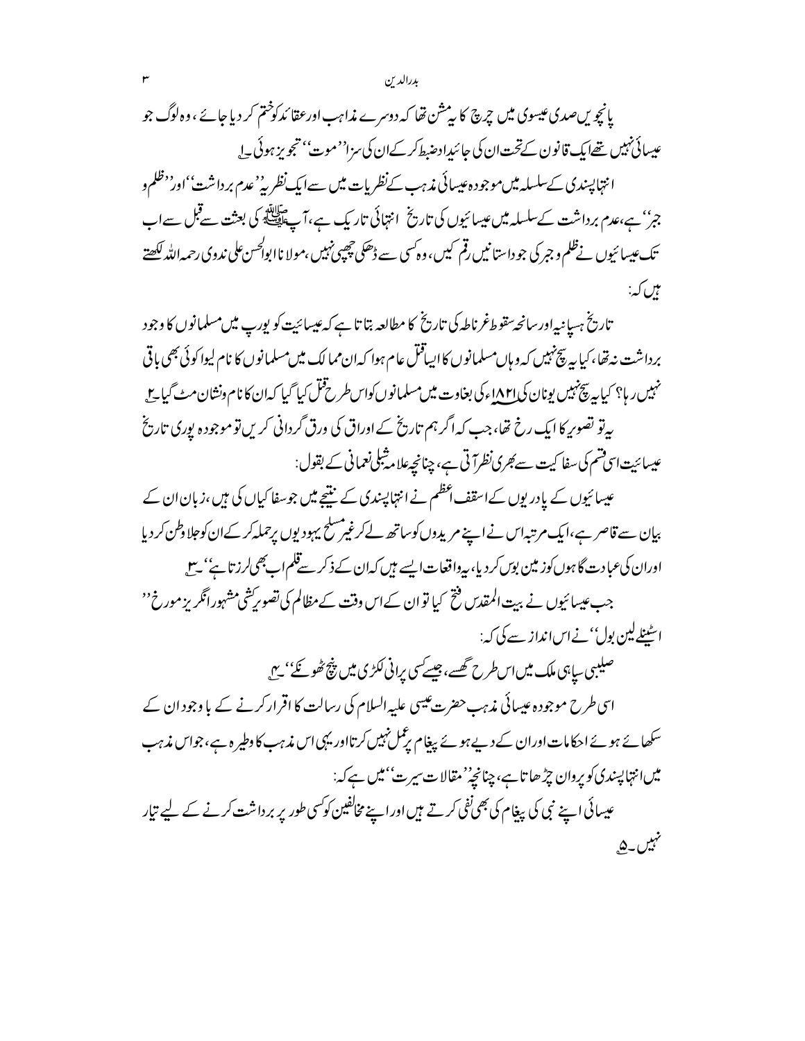بدرالدين

یانچویںصدی عیسوی میں چرچ کا پیشن تھا کہ دوسرے مذاہب اورعقا ئدکوختم کر دیا جائے ، وہ لوگ جو عیسائی نہیں تھےایک قانون کےتحت ان کی جائیداد ضبط کر کےان کی سزا''موت'' تجویز ہوئی ۔ا انتہا پسندی کےسلسلہ میں موجود ہ عیسائی مذہب *کے نظر*یات میں سےایک *نظریہ' عدم بر*داشت''اور'<sup>، ظ</sup>لم و جر'' ہے،عدم برداشت کےسلسلہ میں عیسائیوں کی تاریخ انتہائی تاریک ہے،آ ۓ پلائی کی بعثت سےقبل سےاب تک عیسائیوں نےظلم و جبر کی جو داستانیں رقم کیں ، وہ کسی سے ڈھکی چھپی نہیں ،مولا ناابوالحس علی ندوی رحمہ اللہ لکھتے ہیں کہ:

تاریخ ہسپانیہاور سانحہ تقوط غرناطہ کی تاریخ کا مطالعہ بتا تا ہے کہ عیسائیت کو پورپ میں مسلمانوں کا وجود بر داشت نه تھا، کیا ہہ پیچنہیں کہ وہاں مسلمانوں کااپیاقتل عام ہوا کہ ان ممالک میں مسلمانوں کا نام لیوا کوئی بھی باقی نہیں ر ہا؟ کیا ہہ پیچنہیں یونان ک<u>ی ا۸۲ا</u>ء کی بغاوت میں مسلمانوں کواس *طرح قتل کیا گیا کہ ا*ن کا نام ونشان مٹ گیا ج بیرتو تصویر کا ایک رخ تھا،جب کہ اگر ہم تاریخ کے اوراق کی ورق گردانی کریں تو موجودہ پوری تاریخ عیسائیت اسی قسم کی سفا کیت سے *جر*ی نظرآ تی ہے، چنانچہ علا م<sup>ش</sup>بلی نعمانی کے بقول:

عیسائیوں کے بادر یوں کےاسقف اعظم نے انتہاپپندی کے منتیجے میں جوسفا کیاں کی ہیں ،زبان ان کے بیان سے قاصر ہے،ایک مرتبہاس نے اپنے مریدوں کو ساتھ لے کرغیر مسلح یہودیوں برحملہ کر کے ان کوجلا دطن کر دیا اوران کی عبادت گا ہوں کوز مین بوں کر دیا، بیرواقعات ایسے میں کہان کے ذکر سےقلم اب بھی لرز تا ہے' سے جب عیسائیوں نے بیت المقدس فتح کیا تو ان کےاس وقت کے مظالم کی تصویریشی مشہورانگریز مورخ'' اسٹینلےلین پول''نےاس انداز سے کی کہ:

صلیبی سابی ملک میں اس طرح تھسے،جیسے سی برانی لکڑی میں پنچ ٹھو گئے' ہیں اسی طرح موجودہ عیسائی مذہب حضرت عیسی علیہ السلام کی رسالت کا اقرار کرنے کے با وجود ان کے سکھائے ہوئے احکامات اوران کے دیےہوئے بیغام پرعمل نہیں کرتااور یہی اس مذہب کا دطیر ہ ہے، جواس مذہب میں انتہا پسندی کویروان چڑ ھا تاہے، چنانچہ''مقالات سیرت''میں ہے کہ: عیسائی اپنے نبی کی پیغام کی بھی نفی کرتے ہیں اوراپنے مخالفین کوکسی طور پر برداشت کرنے کے لیے تیار نہیں۔ <u>ھ</u>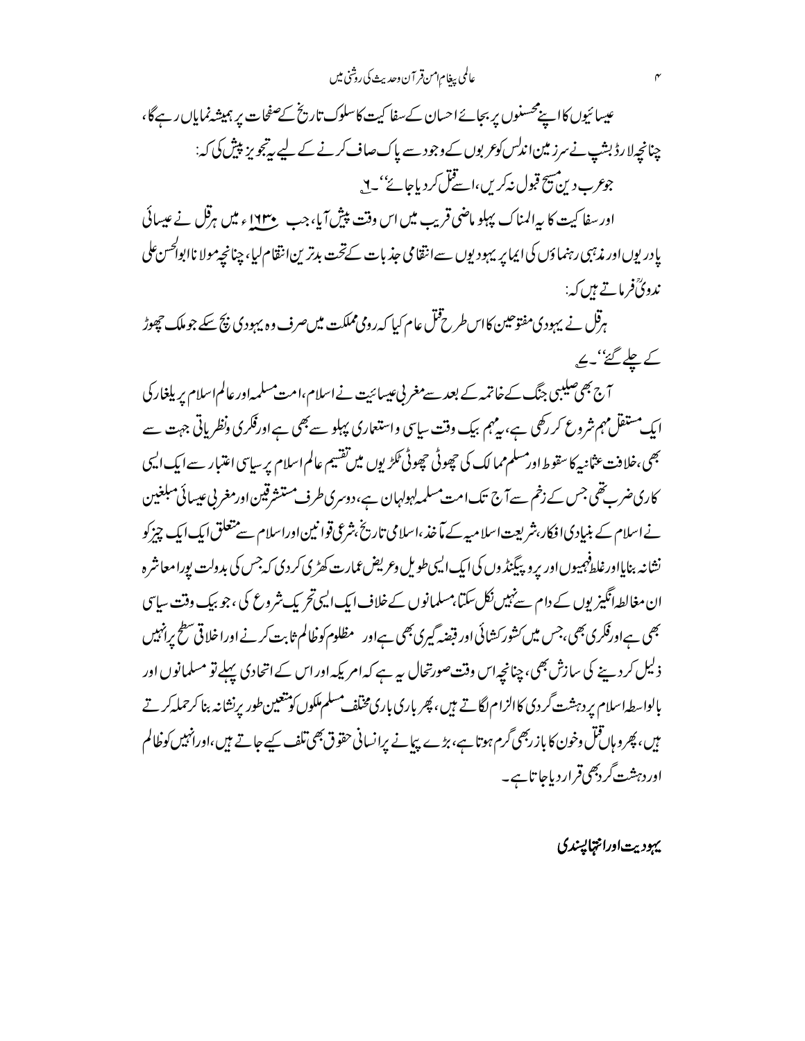عالمي بيغام امن قر آن وحديث كي روشي ميں

عیسائیوں کااپنےمحسنوں پر بجائےاحسان کےسفا کیت کاسلوک تاریخ کےصفحات پر ہمیشہ نمایاں رہےگا، چنانچەلارڈ بشپ نے سرز مین اندلس کوعر بوں کے وجود سے پاک صاف کرنے کے لیے رتبجو پر پیش کی کہ: جوعرب د پن مسیح قبول نہ کریں،اسے قبل کر دیاجائے''۔ <u>۲</u>٫

اور سفا کیت کا پہ المناک پہلو ماضی قریب میں اس وقت پیش آیا، جب حی ۱۶۳ ء میں ہرقل نے عیسائی پادر یوں اور مذہبی رہنماؤں کی ایمایر یہود یوں سے انتقامی جذبات کےتحت بدترین انتقام لیا، چنانچہ مولا ناابوا*کحس ع*لی ندویؒفر ماتے ہیں کہ:

ہرقل نے یہودی مفتوحین کااس طرح قتل عام کیا کہ رومی مملکت میں صرف وہ یہودی پیج سکے جو ملک حچھوڑ کے چلے گئے''۔ بچ

<del>آج بھی صلیبی جنگ کے خاتمہ کے بعد سے مغربی عی</del>سائیت نے اسلام،امت مسلمہ اور عالم اسلام پر یلغار کی ایک مستقل مہم شروع کر رکھی ہے، یہ ہم بیک وقت ساسی واستعاری پہلو سے بھی ہے اورفکری ونظریاتی جہت سے بھی،خلافت عثانیہ کاسقوط اور مسلم مما لک کی چھوٹی حچھوٹی ٹکڑیوں میں تفسیم عالم اسلام پر سیاسی اعتبار سے ایک ایسی کاری ضرب تھی جس کے زخم سےآج تک امت مسلمہ لہولہان ہے،دوسری طرف مستشرقین اورمغر پی عیسائی مبلغین نے اسلام کے بنیادی افکار،شریعت اسلا میہ کے مآخذ ،اسلامی تاریخ ،شرعی قوانین اوراسلام سے متعلق ایک ایک چیز کو نشانه بنایااورغلط<sup>ف</sup>هیبوںاور بروپیگینڈ وں کی ایک ایپی طویل و*عریض عم*ارت کھڑی کردی کہ<sup>جس</sup> کی بدولت بورامعاشرہ ان مغالطہانگیز یوں کے دام سےنہیں نکل سکتا،مسلمانوں کےخلاف ایک ایپی تحریک شروع کی ، جو بیک وقت سایپی بھی ہےاورفکری بھی،جس میں کشور کشائی اور قبضہ گیری بھی ہےاور مظلوم کو خالم ثابت کرنے اوراخلا قی سطح پرانہیں ذلیل کردینے کی سازش بھی، چنانچہ اس وقت صورتحال ہیرہے کہ امریکہ اور اس کے اتحادی پہلے تو مسلمانوں اور بالواسطه اسلام پر دہشت گر دی کاالزام لگاتے ہیں ، پھر باری باری مخلف مسلم ملکوں کو تتعیین طور پرنشانہ بنا کرحملہ کرتے میں، پھرو ہاں قتل دخون کا باز ربھی گرم ہوتا ہے، بڑے پیانے برانسانی حقوق بھی تلف کیے جاتے ہیں،اورانہیں کوظالم اوردہشت گردبھی قراردیاجا تاہے۔

يهوديت اورانتمايسدي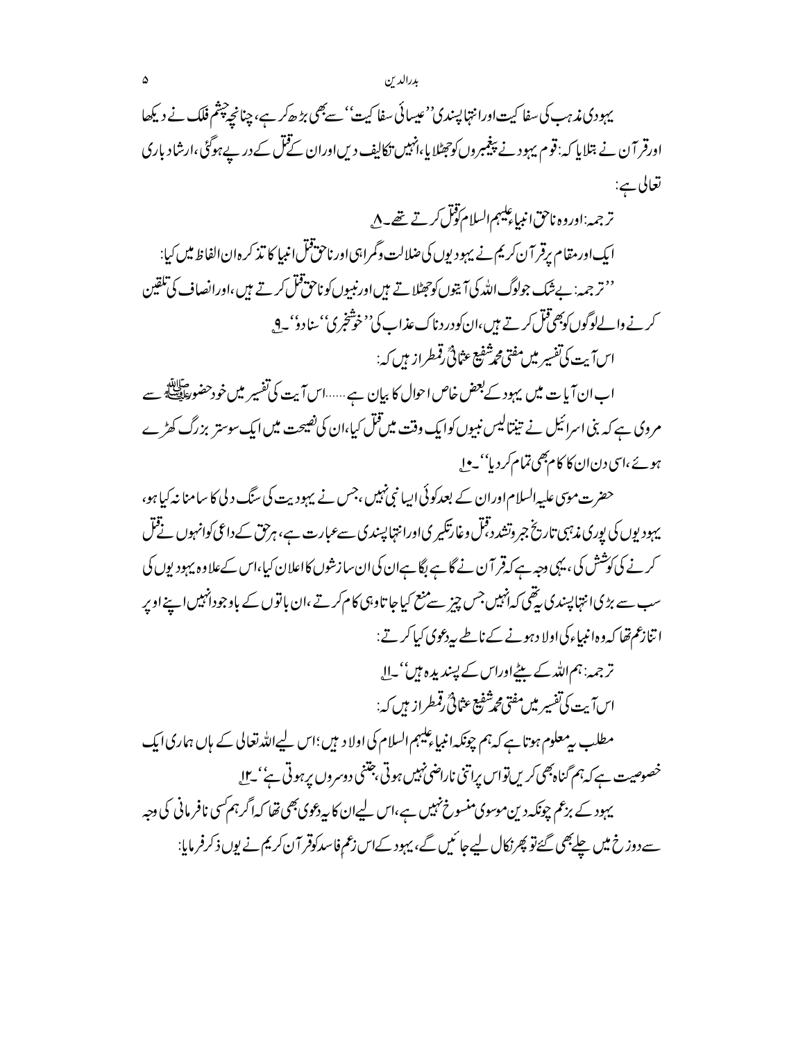یہودی مذہب کی سفا کیت اورانتہا پسندی''عیسائی سفا کیت'' سے بھی بڑ ھ کر ہے، چنانچے چپٹم فلک نے دیکھا اورقر آن نے بتلایا کہ: قوم یہود نے پیغیمروں کوجھٹلایا،انہیں نکالیف دیںاوران کے قتل کے در پے ہوگئی،ارشاد باری تعالى ہے:

ترجمہ:اوروہ ناحق انبیاءَ لیہم السلام کول کرتے تھے۔ ۸<sub>۰</sub> ایک اور مقام برقر آن کریم نے یہود پوں کی ضلالت وگمراہی اور ناحق قُل انبیا کا تذکر ہ ان الفاظ میں کیا: ''تر جمہ: بےشک جولوگ اللہ کی آیتوں کوجھٹلا تے ہیں اورنبیوں کوناحق قتل کرتے ہیں ،اورانصاف کی تلقین کرنے والےلوگوں کو پھی قبل کرتے ہیں،ان کودرد ناک عذاب کی''خوشخبر ک<sup>ی'</sup> سناد وٗ' ۔9 یہ ارْ )آيت كي تفسير ميْن مفتى مجرشفيع عثاثي قمطراز بين كه:

اب ان آیا ت میں یہود کے بعض خاص احوال کا بیان ہے ......اس آیت کی تفسیر میں خودحضور اقتلے ہے مروی ہے کہ بنی اسرائیل نے تینتالیس نبیوں کوایک وقت میں قتل کیا،ان کی نصیحت میں ایک سوستر بزرگ کھڑے ہوئے،اسی دنان کا کام بھی تمام کر دیا''۔ وا

حضرت موتی علیہ السلام اوران کے بعدکوئی ایپا نبی نہیں ،جس نے بہودیت کی سنگ د لی کا سامنا نہ کیا ہو، یہودیوں کی یوری مذہبی تاریخ جبر وتشدد قبل وغارتکیری اورانتہا پسندی سےعبارت ہے، ہرحق کے داعی کوانہوں نے قبل کرنے کی کوشش کی ، یہی دجہ ہے کہ قر آن نے گا ہے لگا ہےان کی ان سازشوں کااعلان کیا،اس کےعلاوہ یہود یوں کی سب سے بڑی انتہا پسندی بیٹھی کہ انہیں جس چیز سے منع کیاجا تاوہی کام کرتے ،ان با توں کے باوجودانہیں اپنے اوپر اتنازعم تھا کہ وہ انبیاءکی اولا دہونے کے ناطے پیربحوی کیا کرتے:

> ترجمہ: ہم اللہ کے بیٹے اوراس کے پسندیدہ ہیں''۔ال اس آيت كي تفسير ميں مفتي محتشفيع عثاثي رقمطراز ميں كہ:

مطلب بی<sup>ر</sup> علوم ہوتا ہے کہ ہم چونکہ انبیاء کیپہم السلام کی اولا دیبی؛اس لیےاللہ تعالی کے ہاں ہماری ایک خصوصیت ہے کہ ہم گناہ بھی کریں تواس پراتنی ناراضی نہیں ہوتی جتنی دوسروں پرہوتی ہے'' بے ل یہود کے بزعم چونکہ دین موسوی منسوخ نہیں ہے،اس لیےان کا پیردعوی بھی تھا کہ اگر ہم کسی نافر مانی کی دجہ سے دوز خ میں چلےبھی گئے تو پھر نکال لیے جا ئمیں گے، بہود کےاس زعم فاسد کوقر آ ن کریم نے یوں ذکر فرمایا: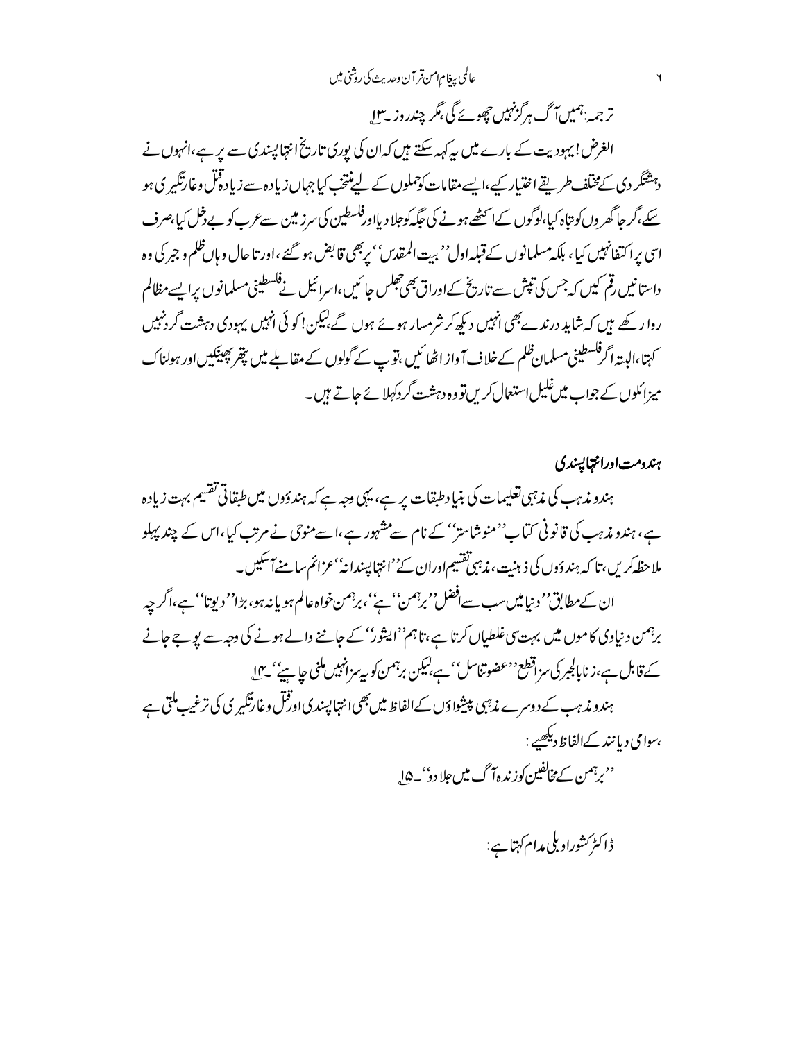### عالمي بيغام امن قر آن وحديث كي روشي ميں

تر جمہ:ہمیں آگ ہرگزنہیں چھوپے گی بگر چندروز بے لا

الغرض! بہودیت کے بارے میں بیرکہہ سکتے ہیں کہ ان کی پوری تاریخ انتہا پسندی سے پر ہے،انہوں نے دہشتگر دی کےمختلف طریقے اختیار کیے،ایسے مقامات کوحملوں کے لیپنتخ کیا جہاں زیادہ سے زیاد ڈقل وغارتگیر ی ہو سکے،گر حا گھر وں کو بتاہ کیا،لوگوں کےا سمٹھےہونے کی جگہ کوجلا دیااورفلسطین کی سرز مین سےعرب کو بے دخل کیا،صرف اسی پراکتفانہیں کیا، بلکہ مسلمانوں کےقبلہ اول'' بیت المقدس'' پربھی قابض ہو گئے ،اور تا حال وہاںظلم و جبر کی وہ داستا نیں رقم کیں کہ جس کی تپش سے تاریخ کےاوراق بھی جھلس جائمیں،اسرائیل نے فلسطینی مسلمانوں پرا بسے مظالم روا رکھے ہیں کہ شاید درندے بھی انہیں دیکھ کر شرمسار ہوئے ہوں گے بیکن! کو ئی انہیں یہودی دہشت گردنہیں کہتا،البیتہ اگرفکسطینی مسلمان ظلم کےخلاف آ واز اٹھا <sup>ک</sup>یں ،تو پ کے گولوں کے مقابلے میں پتھر پھینکیں اور ہولناک میزائلوں کے جواب میں غلیل استعمال کریں تو وہ دہشت گر دکہلا ئے جاتے ہیں۔

ہندومت اورانتمایسندی ہندو مذہب کی مذہبی تعلیمات کی بنیا دطبقات پر ہے، یہی دجہ ہے کہ ہندؤوں میں طبقاتی تقسیم بہت زیادہ ہے، ہندو مذہب کی قانونی کتاب''منوشاستر'' کے نام سےمشہور ہے،اسےمنوحی نے مرتب کیا،اس کے چند پہلو ملاحظہ کریں،تا کہ ہندوَوں کی ذہنیت، مذہبی تقسیم اوران کے''انتہا پیندانہٗ'عزائم سامنےآ' سکیں۔ ان کےمطابق'' د نیامیںسب سےافضل'' برہمن'' ہے''، برہمن خواہ عالم ہو یا نہ ہو، بڑا'' دیوتا'' ہے،اگر چہ برہمن د نیاوی کاموں میں بہت سی غلطیاں کرتا ہے،تاہم''ایثور'' کے جاننے والے ہونے کی دجہ سے یو جے جانے کے قابل ہے،زنابالجبر کی سزاقطع <sup>د ع</sup>ضوتناسل' ہے،لیکن برہمن کو بی<sup>ہ</sup> زانہیں ملنی جا ہی<sup>ں'</sup> یہ ا ہندو مذہب کے دوسرے مذہبی پیشوا وَں کے الفاظ میں بھی انتہا پسندی اورقس وغارتگیری کی ترغیب ملتی ہے ،سوامی دیا نند کےالفاظ دیکھیے : ''برہمن کے مخالفین کوزندہ7 گ میں جلادو''۔4ا<sub>ہ</sub>

ڈاکٹر کشوراوبلی مدام کہتا ہے: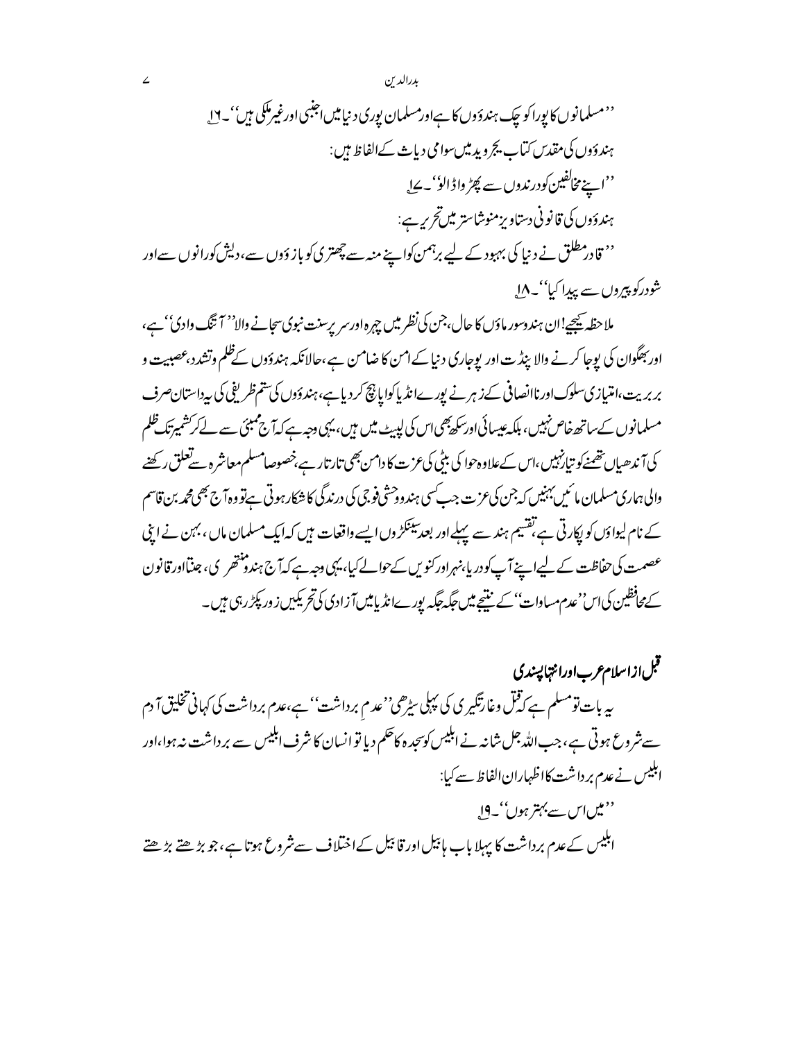يثة

ېدرالد ن

 $\angle$ 

ملاحظہ ﷺ!ان ہندوسور ماؤں کا حال،جن کی نظر میں چہرہ اورسر پرسنت نبوی سجانے والا'' آ تنگ وادی'' ہے، اور بھگوان کی یوجا کرنے والا بیڈ ت اور یوجاری د نیا کے امن کا ضامن ہے،حالانکہ ہندؤوں کےظلم وتشدد،عصبیت و بر بریت،امتیازی سلوک اورناانصافی کے زہر نے پورےانڈیا کوایا پچ کر دیا ہے،ہندوَوں کی تتم ظریفی کی بیرداستان صرف مسلمانوں کے ساتھ خاص نہیں، ہلکہ عیسائی اور سکھ بھی اس کی لپیٹ میں ہیں، یہی دجہ ہے کہ آج ممبئی سے لے کرکشمیرتک ظلم کی آندھیاں تھمنےکو تیارنہیں،اس کےعلاوہ حوا کی بیٹی کی عزت کا دامن بھی تارتار ہے،خصوصامسلم معاشرہ سےتعلق رکھنے والی ہماری مسلمان مائیں بہنیں کہ جن کی عزت جب سی ہندودحشی فوجی کی درندگی کا شکار ہوتی ہےتو وہ آج بھی محمہ بن قاسم کے نام لیواؤں کو پکارتی ہے،تقسیم ہند سے پہلےاور بعد سینکڑ وں ایسے واقعات ہیں کہ ایک مسلمان ماں ، بہن نے اپنی عصمت کی حفاظت کے لیےا پنے آپ کودر پا بنہراور کنویں کےحوالے کیا، یہی دجہ ہے کہ آج ہندومنتھر پی، جنتااور قانون کےمحافظین کی اس''عدم مساوات'' کے بنتیجے میں جگہ جگہ یور ےانڈ یامیںآ زادی کی تحریکیں زور پکڑ رہی ہیں۔

قبل ازاسلام عرب اورانتها پسندی بہ بات تومسلم ہے کہ قتل وغارتگیر کی کی پہلی س<sub>ٹر</sub>ھی''عدم برداشت'' ہے،عدم برداشت کی کہانی تخلیق آ دم سے شروع ہوتی ہے،جب اللہ جل شانہ نے اہلیس کو سجدہ کاحکم دیا تو انسان کا شرف اہلیس سے برداشت نہ ہوا،اور ابلیس نے عدم برداشت کااظہارانالفاظ سے کیا: ''میںاس سے بہتر ہوں''۔**0ا** ابلیس کےعدم برداشت کا پہلا باب ہائیل اور قائیل کےاختلاف سےشروع ہوتا ہے،جو بڑھتے بڑھتے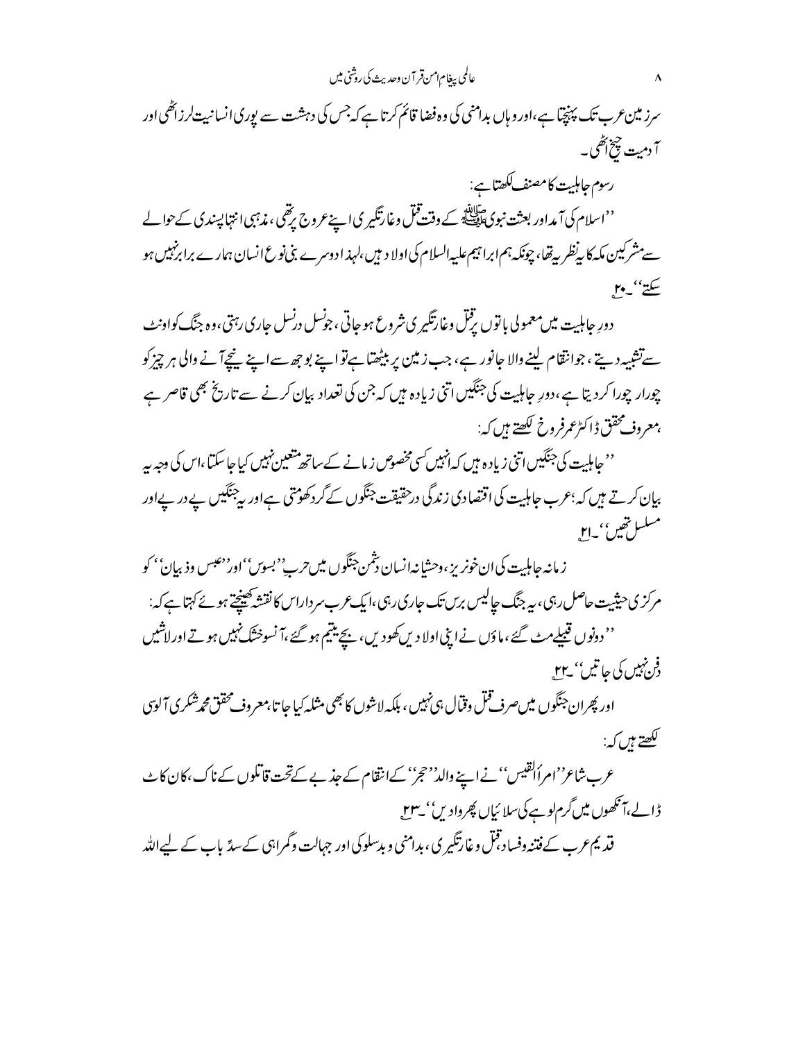سرز مین عرب تک پہنچیا ہے،اور وہاں بدامنی کی وہ فضا قائم کرتا ہے کہ جس کی دہشت سے یوری انسانبیت لرزائھی اور آ دمیت چخ آگھی۔ رسوم حامليت كامصنف ككھتا ہے: ''اسلام کی آ مداور بعثت نبوی ﷺ کے وقت قبل وغارتگیر کی اپنے عروج ریتھی ، مذہبی انتہا پسندی کےحوالے سےمشرکین مکہ کا پی<sup>ن</sup>ظر پیٹھا، چونکہ ہم ابرا تبیم علیپہالسلام کی اولا دیب<sub>یں</sub>،لہذ ادوسرے بنی نوع انسان ہمارے برابرنہبیں ہو سكتے''۔۲۰

دورِ حاملیت میں معمولی باتوں یژنل وغارتکیر ی شروع ہو جاتی ، جونسل درنسل جاری رہتی،وہ جنگ کواونٹ سےتشبیہ دیتے ، جوانقام لینے والا جانور ہے ، جب زمین پر بیٹھتا ہےنواپنے بوجھ سےاپنے نیچےآ نے والی ہر چیز کو چورار چورا کردیتا ہے،دورِ جاہلیت کی جنگیں اتنی زیادہ ہیں کہ جن کی تعداد بیان کرنے سے تاریخ بھی قاصر ہے بمعروف محقق ڈاکٹرعمرفر وخ لکھتے ہیں کہ:

''حاملیت کی جنگیں اتنی زیادہ ہیں کہ انہیں <sub>کس</sub>ی مخصوص زمانے کے ساتھ متعین نہیں کیا جا سکتا ،اس کی وجہ یہ بیان کرتے ہیں کہ؛عرب جاہلیت کی اقتصادی زندگی درحقیقت جنگوں کےگر دکھوُتتی ہےاور پیجنگیں بے در بےاور مىلسلەتقىن، يەr

ز مانه حاملیت کی ان خونریز ، وحشانه انسان دشمن جنگوں میں حربے''بسوں'' اور' عبس وذبیان'' کو مرکز کی حیثیت حاصل رہی ، بہ جنگ جالیس برس تک جاری رہی ،ایک عرب سر داراس کا نقشہ کھینچتے ہوئے کہتا ہے کہ: '' دونوں قبیلےمٹ گئے ،ماؤں نےا بنی اولا دیں کھودیں ،پنچ ینتیم ہو گئے ،آ نسوختگ نہیں ہوتے اور لاشیں فو نہیں کی جا تیں'' \_rr\_

اور پھران جنگوں میںصرف قمل وقال ہی نہیں ، بلکہ لاشوں کا بھی مثلہ کیا جا تا بمعروف محقق محمرشکری آلوی لکھتے ہیں کہ:

عرب شاع''امرألقیس'' نے اپنے والد''حجز'' کےانتقام کے جذبے کےتحت قاتلوں کے ناک ،کان کا ٹ ڈالے،آنکھوں میں گرم لوہے کی سلائیاں پھروادیں'' ی**۲**۳

قدیم عرب کے فتنہ وفساد قبل وغارتگیر ی، بدامنی و بدسلوکی اور جہالت وگمراہی کے سدّ باب کے لیےاللّٰہ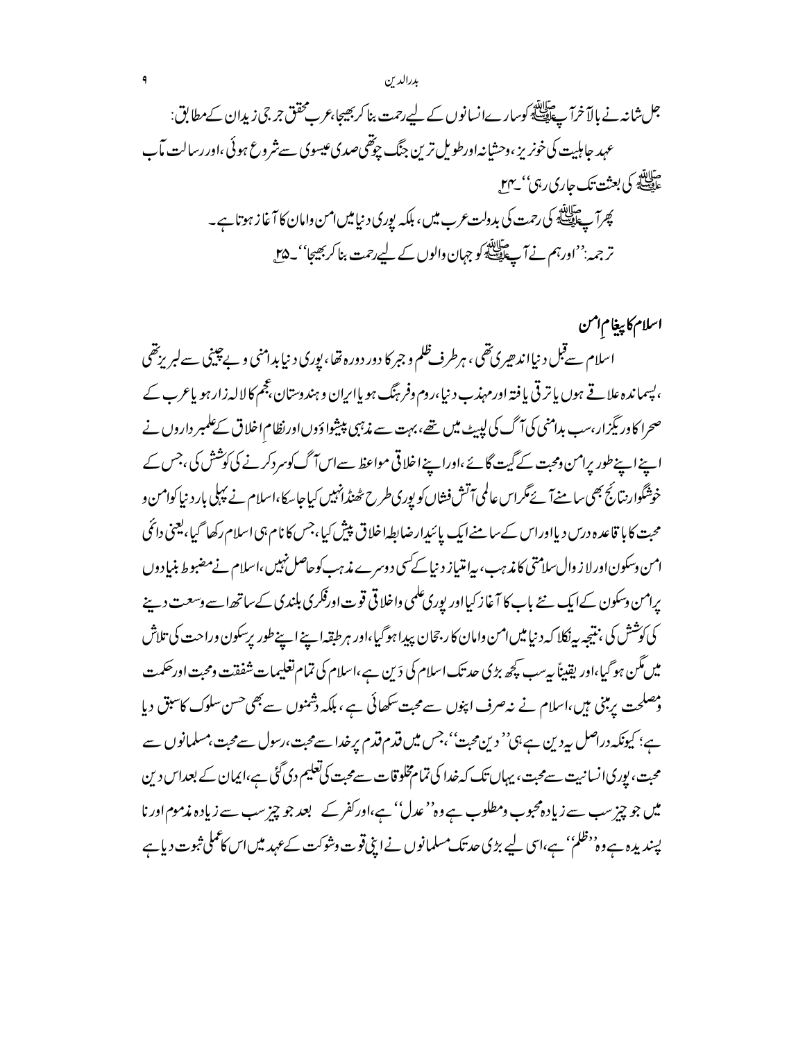اسلام كاپيغام امن اسلام سےقبل د نیااند حیری تھی ، ہرطرف ظلم و جبر کا دور دورہ تھا، یوری د نیا بدامنی و بےچینی سےلبریزتھی ، پسماندہ علاقے ہوں پاتر قی یا فتہ اورمہذب د نیا،روم وفر ہنگ ہو پاایران و ہندوستان،عجم کالالہ زارہو پاعرب کے صحرا کاور بگزار،سب بدامنی کی آگ کی لپہیٹ میں تھے،بہت سے مذہبی پیشواؤوںاورنظاماخلاق کے علمبر داروں نے اپنے اپنے طور پرامن ومحت کے گیت گائے،اوراپنے اخلاقی مواعظ سےاس آگ کوسرد کرنے کی کوشش کی ،جس کے خوشگوارنٽانج بھي سامنےآ ئے مگراس عالمي آتش فشاں کو پوري طرح حُصندانہيں کيا جائے،اسلام نے پہلی بارد نيا کوامن و محبت کا با قاعدہ درس دیااوراس کےسامنےایک پائیدارضابطہاخلاق پپش کیا،جس کانام ہی اسلام رکھا گیا،بعنی دائمی امن دسکون اورلا ز وال سلامتی کا مذہب، بیامتیاز دینا کے سی دوسرے مذہب کوحاصل نہیں ،اسلام نےمضبوط بنیاِ دوں یرامن وسکون کےایک نئے باب کا آغاز کیااور پوری علمی واخلا قی قوت اورقکری بلندی کےساتھ اسے وسعت دینے كى كوشش كى ، نتیجه به نكلا كه د نباییں امن وامان كار جحان پیدا ہوگیا،اور ہر طبقہا ہے اپنے طور پرسكون وراحت كى تلاش میں مگن ہو گیا،اور یقیناً بیرسب کچھ بڑی حد تک اسلام کی دَین ہے،اسلام کی تمام تعلیمات شفقت ومحبت اورحکمت ومصلحت پرمبنی ہیں،اسلام نے نہ صرف اپنوں سے محبت سکھائی ہے ، ہلکہ دشمنوں سے بھی <sup>حسن</sup> سلوک کاسبق دیا ہے؛ کیونکہ دراصل پیردین ہے،پی'' دین محبت''،جس میں قدم قدم پر خدا سے محبت،رسول سے محبت،مسلمانوں سے محبت، بوریاانسانیت سےمحبت، یہاں تک کہ خدا کی تمام مخلوقات سےمحبت کی تعلیم دی گئی ہے،ایمان کے بعداس دین میں جو چیز سب سے زیادہ محبوب ومطلوب ہے وہ'' عدل'' ہے،اور کفر کے بعد جو چیز سب سے زیادہ مذموم اور نا پسندیدہ ہےوہ''ظلم'' ہے،اس لیے بڑی حد تک مسلمانوں نے اپنی قوت وشوکت کےعہد میں اس کاعملی ثبوت دیا ہے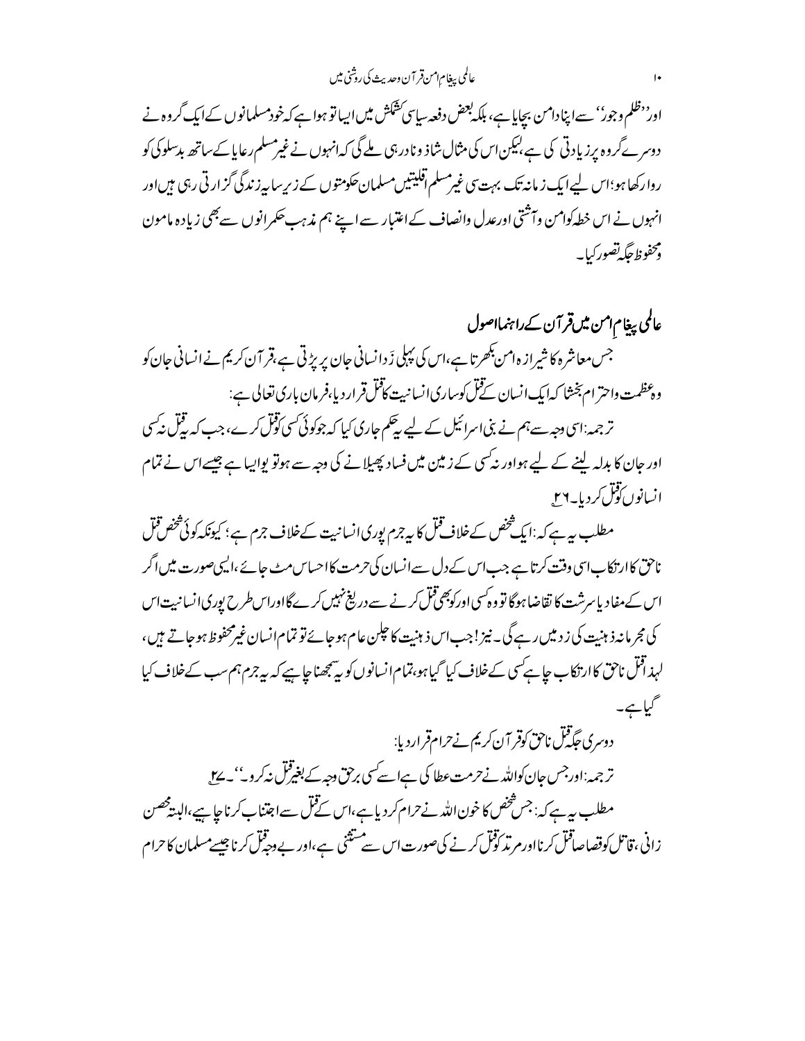عالمي بيغام امن قر آن وحديث كي روشني ميس

اور<sup>د د</sup>ظلم وجور'' سے اپنادامن بچایا ہے، ہلکہ بعض دفعہ سای<sup>سی کش</sup>کش میں ایسا تو ہوا ہے کہ خودمسلمانوں کےایک گروہ نے دوسر ئےگروہ پرزیادتی کی ہے،لیکن اس کی مثال شاذ ونادرہی ملے گی کہ انہوں نے غیرمسلم رعایا کےساتھ بدسلوکی کو روارکھا ہو؛اس لیےایک زمانہ تک بہت سی غیرمسلم آفلیتیں مسلمان حکومتوں کے زیرِسا بیرزندگی گزارتی رہی ہیںاور انہوں نے اس خطہ کوامن وآشقی اورعدل وانصاف کے اعتبار سے اپنے ہم مذہب حکمرانوں سے بھی زیادہ مامون ومحفوظ حكه تصوركيايه

عالمی پیغام امن میںقر آن کے راہنمااصول جس معاشرہ کا شیراز ہ امن بکھرتا ہے،اس کی پہلی زَ دانسانی جان پریژ ٹی ہے،قر آن کریم نے انسانی جان کو و.<br>وعظمت واحتر ام بخشا کهایک انسان نے فل کوساری انسانیت کافل قر اردیا بفر مان باری تعالی ہے: تر جمہ:اسی دجہ سے ہم نے بنی اسرائیل کے لیے بیچم جاری کیا کہ جوکوئی کسی توقل کرے، جب کہ بیقِل نہ کسی اور جان کا بدلہ لینے کے لیے ہواور نہ کسی کے زمین میں فساد پھیلانے کی دجہ سے ہوتو پوایہا ہے جیسے اس نے تمام

انسانوں تول کر دیا۔۲۶

مطلب ہے ہے کہ :ایک شخص کےخلاف قتل کا ہے جرم پوری انسانیت کےخلاف جرم ہے ؛ کیونکہ کوئی شخص قتل ناحق کاار نکاباسی وقت کرتا ہے جب اس کے دل سےانسان کی حرمت کااحساس مٹ جائے ،الیہی صورت میں اگر اس کےمفاد پاسرشت کا تقاضاہوگا تو وہ کسی اورکوبھی قُل کرنے سے دریغ نہیں کرےگااوراس طرح پوری انسا نبیت اس كى مجر مانەز ہنيت كى ز د ميں رہے گى۔ نيز! جب اس ذ ہنيت كا حلبن عام ہوجائے تو تمام انسان غيرمحفوظ ہوجاتے ہيں ، لہذاقل ناحق کاارتکاب حا ہےکسی کےخلاف کیا گیا ہو،تمامانسانوںکو یہ پنجھناحا ہے کہ بیہ جرم ہم سب کےخلاف کیا گیاہے۔

دوسری حَکِمْتِل ناحق کوقر آن کریم نے حرام قراردیا: ترجمہ:اورجس جان کواللہ نےحرمت عطا کی ہےاسے کسی برحق دجہ کے بغیرقل نیکروٹ' کے ل مطلب بيرہے کہ: جس شخص کا خون اللہ نے حرام کر دیا ہے،اس کے قتل سے اجتناب کرنا جا ہے،البیڈ محصن زانی ، قاتل کوقصاصاقل کرنااورم بڈرکوفل کرنے کی صورت اس سے مشتثی ہے ،اور بے وجہ قل کرنا چیسے مسلمان کا حرام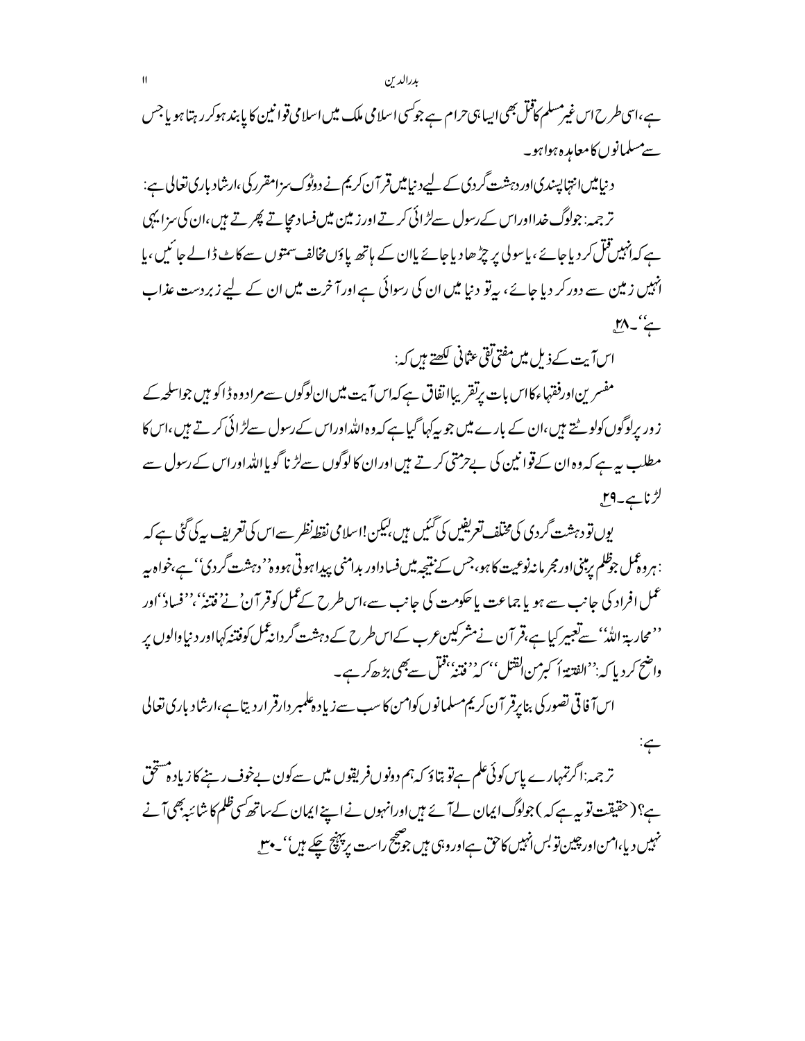ہے،اسی طرح اس غیرمسلم کاقل بھی ایسا ہی حرام ہے جوکسی اسلامی ملک میں اسلامی قوانین کا پابند ہوکرر ہتا ہو یا جس سے مسلمانوں کا معاہدہ ہواہو۔

د نیامیںانتہاپسندی اور دہشت گردی کے لیےد نیامیں قر آن کریم نے دوٹوک سزامقرر کی،ارشاد باری تعالی ہے: تر جمہ: جولوگ خدااوراس کے رسول سےلڑائی کرتے اور زمین میں فساد مجاتے پھرتے ہیں،ان کی سزا یہی ہے کہ انہیں قتل کر دیاجائے ،پاسو لی پر چڑھا دیاجائے پاان کے ہاتھ یاؤں مخالف سمتوں سے کاٹ ڈالے جا ئیں ،پا انہیں زمین سے دورکر دیا جائے، بیرتو دنیا میں ان کی رسوائی ہےاورآ خرت میں ان کے لیے زبردست عذاب يم' پہل

اسآ بیت کے ذیل میں مفتی تقی عثانی لکھتے ہیں کہ:

 $\div$ 

مفسرین اورفقہاءکااس بات برتقریبااتفاق ہےکہاسآ بیت میں ان لوگوں سےمراد وہ ڈاکو ہیں جواسلحہ کے ز وریرلوگوں کولوٹتے ہیں،ان کے بارے میں جو بہ کہا گیا ہے کہ وہ اللہ اوراس کے رسول سےلڑائی کرتے ہیں،اس کا مطلب ہیرہے کہ وہ ان کےقوا نبین کی بےحرمتی کرتے ہیں اوران کالوگوں سےلڑ نا گویاِاللہ اوراس کے رسول سے لڑناہے۔19

یوں تو دہشت گردی کی مخلف تعریفیں کی گئیں ہیں کہکن!اسلامی نقطہ نظر سے اس کی تعریف پیکی گئی ہے کہ : ہروہ کمل جوظلم یرینی اور مجر مانہ نوعیت کا ہو،جس کے نتیجہ میں فساداور بدامنی پیدا ہوتی ہووہ'' دہشت گردی'' ہے،خواہ بیہ عمل افراد کی جانب سے ہو یا جماعت یا حکومت کی جانب سے،اس طرح کے عمل کوقر آن نے فتنہٗ ،''فسادُ'اور <sup>د د</sup>محاربۃ اللّٰہ'' سےتعبیر کیا ہے،قر آن نےمشرکین *عر*ب کےاس *طر*ح کے دہشت گردانہ عمل کوفتنہ کہااور د نیاوالوں پر واضح كرديا كه:''الفتنة أ كبرمن القتل'' كه''فتنهُ'قتل سے بھی بڑھ کر ہے۔

اس آفاقی تصور کی بنا پرقر آن کریم مسلمانوں کوامن کا سب سے زیاد ہلمبر دارقر اردیتا ہے،ارشاد باری تعالی

ترجمہ:اگرتمہارے پاسکوئی علم ہےتو بتاؤ کہ ہم دونوںفر یقوں میں سےکون بےخوف رہنے کا زیادہ مشخق ہے؟ (حقیقت تو بیہ ہے کہ ) جولوگ ایمان لےآئے ہیں اورانہوں نے اپنے ایمان کے ساتھ کسی ظلم کا شائبہ بھی آنے نہیں دیا،امن اور چین تو بس انہیں کاحق ہےاوروہی ہیں جو شجیح راست پر پہنچ چکے ہیں''۔ مبی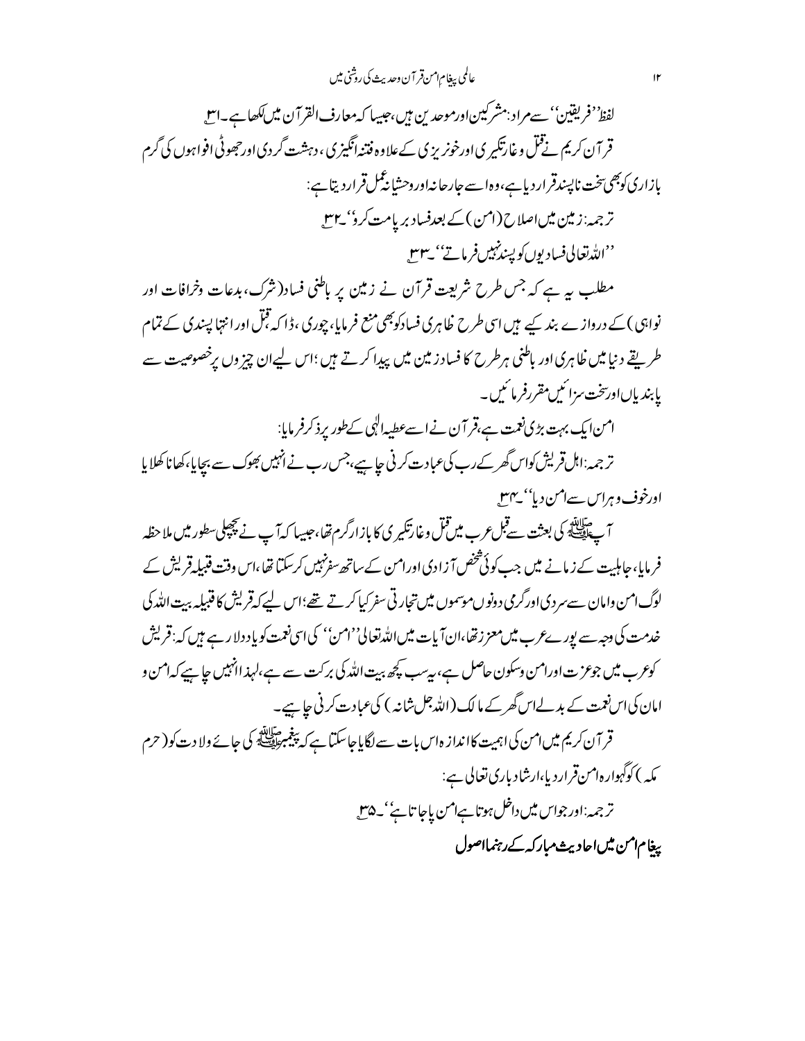عالمي ببغام امن قر آن وحديث كي روشني ميس

لفظ<sup>ود</sup> فریقین' سےمراد :مشرکیین اورموحد <sup>ب</sup>ین بیں،حبیبا کہ معارف القرآن میں ککھا ہے۔اس قر آن کریم نےقتل وغارتگیر ی اورخونر پز پی کےعلاوہ فتنہانگیز پی ، دہشت گردی اورجھوٹی افواہوں کی گرم بإزارى كوبھى تخت ناپسندقرارد پاہے،وہاسے جارحانہاوروحشا بنگمل قرارديتا ہے: ترجمہ:زمین میںاصلاح(امن)کے بعدفساد بریامت کرو' ۲۳۔ ''الله تعالى فساديوں کو پسندنہيں فرماتے'' يہ ۳۳۔

مطلب یہ ہے کہ جس طرح شریعت قرآن نے زمین پر باطنی فساد(شرک،بدعات وخرافات اور نواہی )کے درواز ے بند کیے ہیں اسی طرح ظاہری فسادکوبھی منع فرمایا، چوری ،ڈا کہ قبل اورانتہا پپندی کے تمام طر تقے دنیا میں ظاہری اور باطنی ہرطرح کا فساد زمین میں پیدا کرتے ہیں ؛اس لیےان چیز وں پرخصوصیت سے یا بندیاںاورسخت مزائنیں مقررفر مائیں۔

امن ایک بہت بڑی نعمت ہے،قر آن نے اسےعطیہ الٰہی کےطور پرذ کرفر مایا:

ترجمہ:اہل قریش کواس گھر کے رب کی عبادت کرنی جاہیے،جس رب نے انہیں بھوک سے بچایا،کھانا کھلایا اورخوف وہراس سےامن دیا'' پہنل

آپ سالئے کی بعثت سے قبل *عر*ب میں قبل وغارتکیر کی کا باز ارگرم تھا،حبیبا کہ آپ نے کچچپل سطور میں ملاحظہ فر مایا، جاہلیت کے زمانے میں جب کوئی شخص آ زادی اورامن کے ساتھ سفرنہیں کرسکتا تھا،اس وقت قبیلہ قریش کے لوگ امن وامان سے سر دی اورگرمی دونوں موسموں میں تجارتی سفر کیا کرتے تھے؛اس لیے کہ قریش کا قنبیلہ بہت اللہ کی خدمت کی دجہ سے بور بےعرب میں معزز تھا،ان آیات میں اللہ تعالی''امن'' کی اسی نعمت کو یا دولا رہے ہیں کہ: قریش کوعرب میں جوعزت اورامن وسکون حاصل ہے، بیرسب کچھ بیت اللہ کی برکت سے ہے،لہذ انہیں جاہیے کہ امن و امان کی اس نعمت کے بدلےاس گھرکے ما لک (اللہ جل شانہ ) کی عبادت کرنی جاہیے۔ قر آن کریم میں امن کی اہمیت کاانداز ہاس بات سے لگایا جاسکتا ہے کہ پیغمبر ایس کی جائے ولا دت کو( حرم

مکه ) کوگہوارہ1منقراردیا،ارشادباری تعالی ہے: ترجمہ:اور جواس میں داخل ہوتا ہےامن یاجا تائے' کے لاس

بیغام امن میں احادیث مبارکہ کے رہنمااصول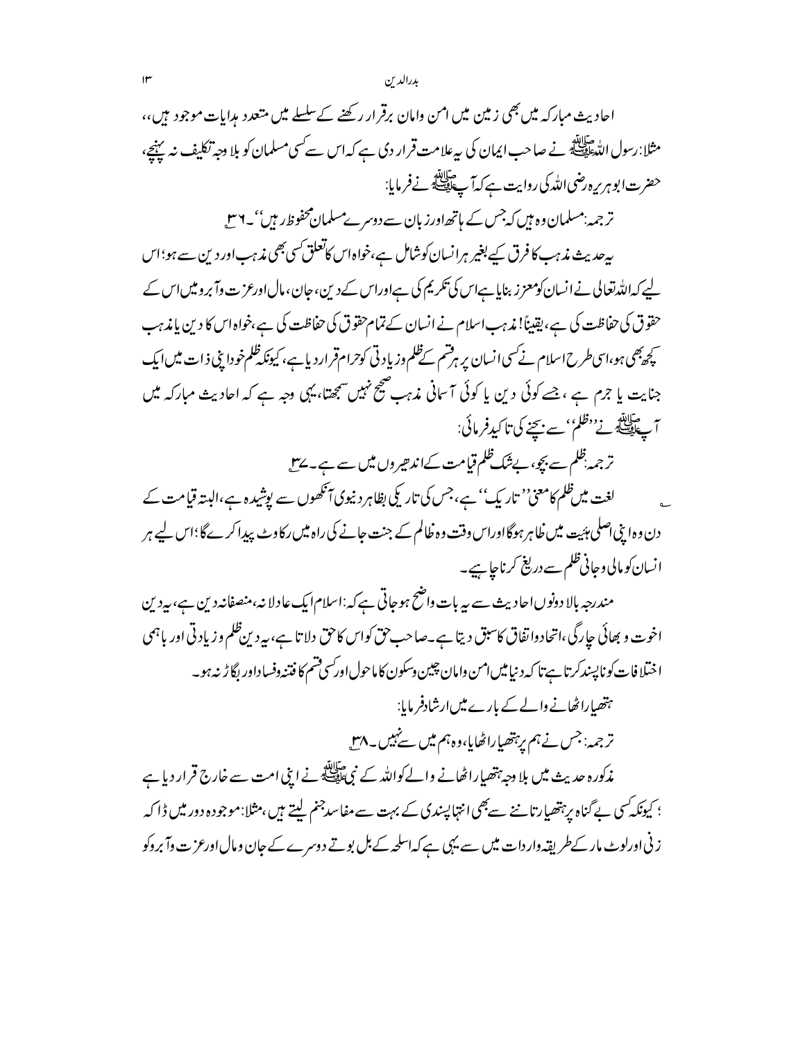احادیث مبارکہ میں بھی زمین میں امن وامان برقرار رکھنے کےسلسلے میں متعدد ہدایات موجود ہیں،، مثلا:رسول الدَّه الصَّلِيَّة نے صاحب ایمان کی سہ علامت قرار دی ہے کہ اس سے کسی مسلمان کو بلا وجہ تکلیف نہ پہنچ، حضرت ابو ہر برہ رضی اللہ کی روایت ہے کہ آ پے ایک نے فرمایا: تر جمہ:مسلمان وہ ہیں کہ جس کے ہاتھ اورز بان سے دوسرےمسلمان محفوظ رہیں''۔ ۲ س بیرحدیث مذہب کافرق کیے بغیر ہرانسان کوشامل ہے،خواہ اس کاتعلق *کسی بھی مذہب اور دین سے ہو*؛اس لیے کہ اللہ تعالی نے انسان کومعزز بنایا ہےاس کی تکریم کی ہےاوراس کے دین، جان، مال اورعزت وآبر ویں اس کے حقوق کی حفاظت کی ہے، یقیناً! مذہب اسلام نے انسان کے تمام حقوق کی حفاظت کی ہے،خواہ اس کا دین یا مذہب <u>کچھ</u>یجی ہو،اسی *طرح اسلام نے کس*ی انسان پر ہرقسم کےظلم وزیادتی کوحرامقرار دیاہے، کیونکہ ظلم خودا بنی ذات میں ایک جنایت یا جرم ہے ،جسے کوئی دین یا کوئی آسانی مذہب صحیح نہیں سمجھتا، یہی وجہ ہے کہ احادیث مبارکہ میں س حيالة.<br>أحقاق في في المستنب بن الكيد فرمائي: ترجمہ ظلم سے بچو، بےشک ظلم قیامت کےاندھیروں میں سے ہے۔ پہل لغت میںظم کامعنی'' تاریک'' ہے،جس کی تاریکی بظاہر دنیوی آنکھوں سے یوشیدہ ہے،البتہ قیامت کے دن وہ اپنی اصلی پئیت میں ظاہر ہوگااوراس وقت وہ ظالم کے جنت جانے کی راہ میں رکاوٹ پیدا کرےگا؛اس لیے ہر انسان کومالی وجانی ظلم سے دریغ کرناجا ہیے۔ مندرجہ بالا دونوںاحادیث سے بیہ بات واضح ہوجاتی ہےکہ:اسلام ایک عادلا نہ،منصفانہ دین ہے، بیردین اخوت و بھائی جارگی،اتحادوا تفاق کاسبق دیتا ہے۔صاحب حق کواس کاحق دلاتا ہے، بہ دین ظلم وزیادتی اور باہمی اختلافات كونا پسندكرتا ہےتا كەدىنياميں امن وامان چيين وسكون كاماحول اور سي قسم كافتنه وفساداور بگا ڑ نہ ہو۔ ہتھیاراٹھانے والے کے بارے میں ارشادفر مایا: تر جمہ: جس نے ہم یرہتھیا راٹھایا،وہ ہم میں سےنہیں۔ <sub>پ</sub>ہیں مذکورہ حدیث میں بلا دجہ ہتھیاراٹھانے والےکواللہ کے نبیﷺنے ابنی امت سے خارج قرار دیا ہے ؛ کیونکہ کسی بے گناہ پر پتھیارتا نے سے بھی انتہا پسندی کے بہت سے مفاسدجنم لیتے ہیں ،مثلا:موجودہ دور میں ڈا کہ ز نی اورلوٹ مار کے طریقہ وار دات میں سے یہی ہے کہ اسلحہ کے بل بوتے دوسرے کے جان ومال اورعز ت وآ بروکو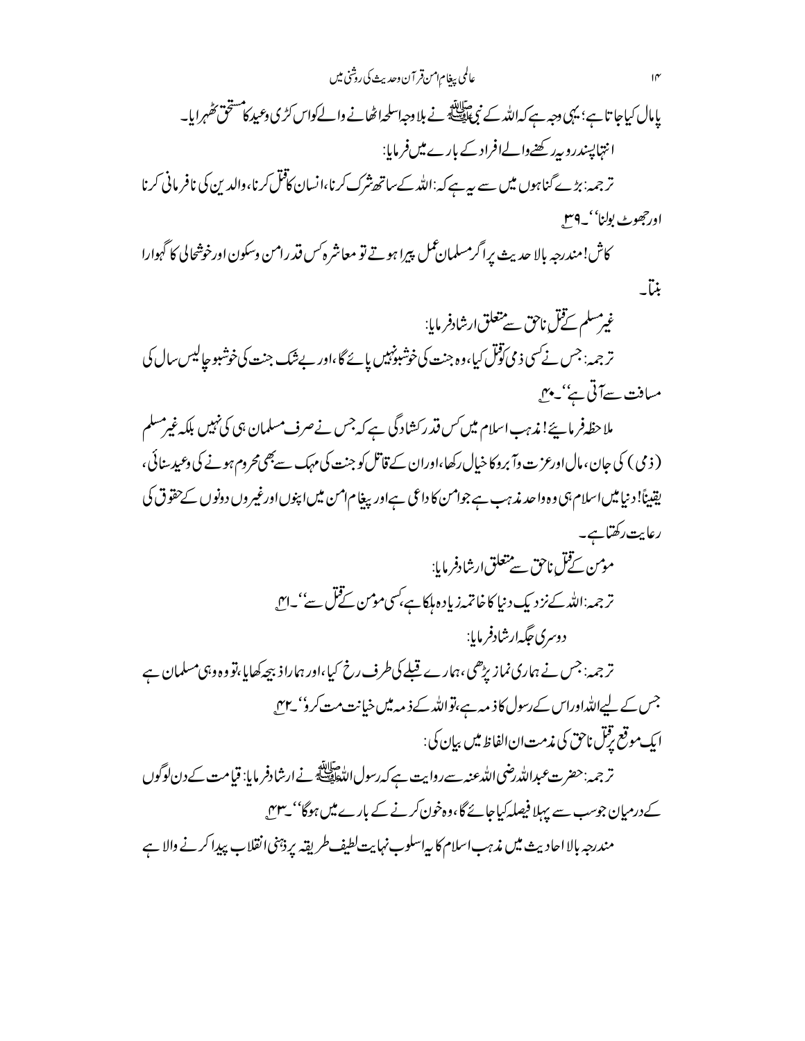عالمي بيغام امن قر آن وحديث كي روشني ميں یامال کیاجا تا ہے؛ یہی دجہ ہے کہ اللہ کے نبیﷺ نے بلا دجہ اسلحہ اٹھانے والےکواس کڑی دعید کامشخق تھٰہرایا۔ انتہاپسندروبہ رکھنےوالےافراد کے بارے میںفرمایا: تر جمہ: بڑے گناہوں میں سے ہیہ ہے کہ:اللہ کےساتھ شرک کرنا،انسان کافل کرنا،والدین کی نافر مانی کرنا اورجھوٹ بولنا''۔4میں

كاش!مندرجه بإلا حديث يراگرمسلمان عمل پيرا ہوتے تو معاشر ہ س قدر امن وسكون اورخوشحالي كا گہوارا بنتي

غیرمسلم نےقل ناحق سے متعلق ارشادفر مایا: تر جمہ: جس نے کسی ذمی توٹل کیا،وہ جنت کی خوشبونہیں پائے گا،اور بے شک جنت کی خوشبو حیالیس سال کی میافت سےآتی ہے' یہیں

ملاحظہ فر ماپئے! ندہب اسلام میں کس قدر کشاد گی ہے کہ جس نےصرف مسلمان ہی کی نہیں بلکہ غیرمسلم ( ذ می ) کی جان ، مال اورعز ت وآ بروکا خیال رکھا،اوران کے قاتل کو جنت کی مہک سے بھی محروم ہونے کی وعید سنائی ، یقیناً! د نیامیں اسلام ہی وہ واحد مذہب ہے جوامن کا داعی ہےاور بیغام امن میں اپنوں اورغیر وں دونوں کےحقوق کی رعايت رکھتاہے۔

> مۇس ئےقل ناحق سے تتعلق ارشادفر مایا: ترجمہ:اللہ کےنزدیک دنیا کاخاتمہ زیادہ ہلکاہے،کسی موس کےفل سے''۔اس دوسری جگه ارشادفر مایا:

تر جمہ: جس نے ہماری نماز پڑھی،ہمارے قبلے کی طرف رخ کیا،اور ہماراذ بیچہ کھایا،تو وہ وہی مسلمان ہے جس کے لیےاللہ اوراس کے رسول کا ذمہ ہے،تواللہ کے ذمہ میں خیانت مت کرو' ہے۔ ايك موقع رقنل ناحق كي مذمت ان الفاظ مين بيان كي:

تر جمہ:حضرت عبداللہ رضی اللہ عنہ سے روایت ہے کہ رسول اللہﷺ نے ارشادفر مایا: قیامت کے دن لوگوں کے درمیان جوسب سے پہلا فیصلہ کیاجائے گا،وہ خون کرنے کے بارے میں ہوگا'' بے میں مندرجہ بالا احادیث میں مذہب اسلام کا بیاسلوب نہایت لطیف طریقہ پر ذئنی انقلاب پیدا کرنے والا ہے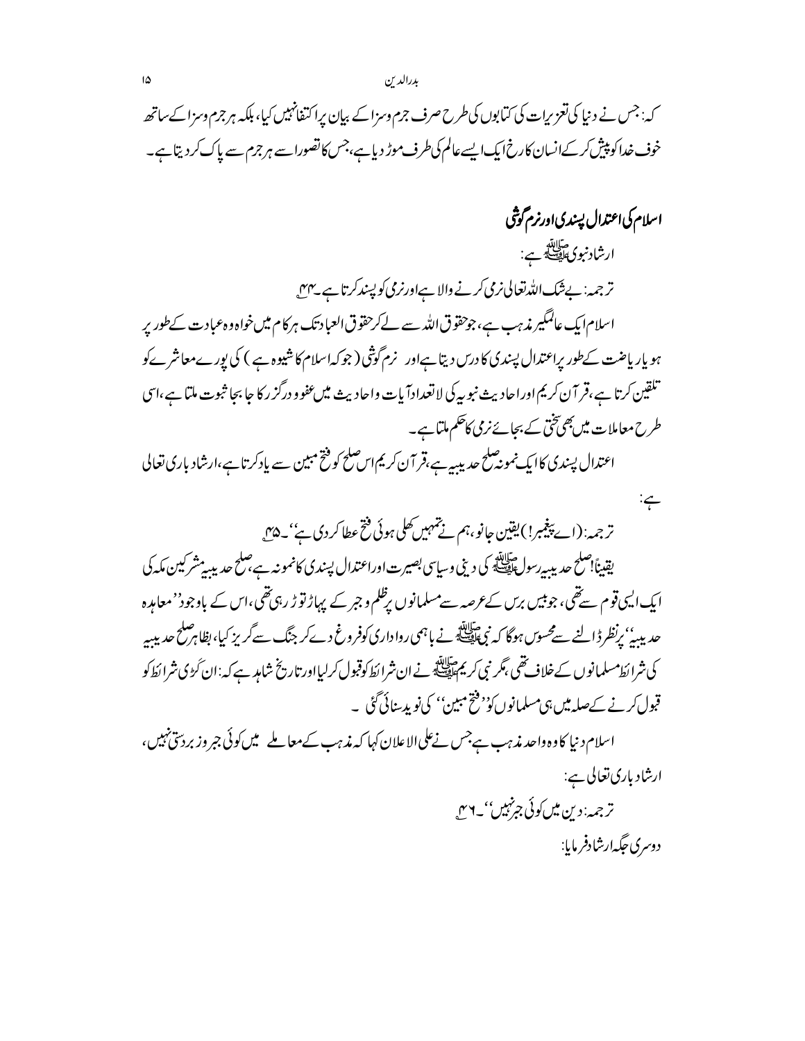کہ: جس نے دنیا کی تعزیرات کی کتابوں کی طرح صرف جرم وسزا کے بیان پراکتفانہیں کیا، بلکہ ہر جرم وسزا کے ساتھ خوف خدا کو پیش کر کےانسان کارخ ایک ایسے عالم کی طرف موڑ دیا ہے،جس کا تصورا سے ہر جرم سے پاک کر دیتا ہے۔

اسلام کی اعتدال پسندی اورنرم گوشی ارشاد نبوی ساللہ<br>ارشاد نبوی افضاء ہے: تر جمہ: بےشک اللہ تعالی نرمی کرنے والا ہےاورنرمی کو پسند کرتا ہے۔ پہلی اسلام ایک عالمگیر مذہب ہے،جوحقوق اللہ سے لےکرحقوق العباد تک ہرکام میںخواہ وہ عبادت کےطور پر ہو یار یاضت کےطور پراعتدال پسندی کا درس دیتا ہےاور نرم گوثنی ( جوکہاسلام کا شیوہ ہے ) کی پورےمعاشر ےکو تلقین کرتا ہے،قر آن کریم اوراحادیث نبوںیہ کی لاتعدادآبات واحادیث میںعفوو درگز رکا جا بجا ثبوت ملتا ہے،اسی طرح معاملات میں بھی تخی کے بحائے نرمی کاحکم ملتا ہے۔ اعتدال پسندی کاایک نمونہ صلح حدیدیہ ہے،قر آن کریم اس صلح کوفتح مبین سے پادکرتا ہے،ارشاد باری تعالی

ترجمہ: (اسے پیغمبر!)یقین جانو،ہم نے تہہیں کھلی ہوئی فتح عطا کر دی ہے''۔۵س يقيناً!صلح حديد يه رسول اللَّه كه من يني وسياسي بصيرت اوراعتدال پسندي كانمونه ہے صلح حديد يبسيشر كين مكه كي ایک ایپی قوم سے تھی، جو بیس برس کے عرصہ سے مسلمانوں برظلم و جبر کے پہاڑ تو ڑ رہی تھی،اس کے باوجود''معاہدہ حدیدیہٗ' رِنظرڈالنے سے محسوس ہوگا کہ نبیﷺ نے ہاہمی رواداری کوفروغ دےکر جنگ سےگریز کیا،بظاہر صلح حدید۔ كى شرا ئط مسلمانوں كے خلاف تھى ، گر نبى كريم تالله بہ نے ان شرا ئط كوقبول كرليااور تاريخ شامد ہے كہ: ان گڑى شرا ئط كو قبول کرنے کےصلہ میں ہی مسلمانوں کو بیٹخ مبین'' کی نوید سائی گئی ۔

اسلام د نیا کاوہ داحد مذہب ہےجس نےعلی الاعلان کہا کہ مذہب کےمعاملے میں کوئی جمر وزبردسی نہیں، ارشاد باري تعالى ہے: ترجمہ: دین میں کوئی جرنہیں''۔ ۲۴

د دسري جگه ارشادفر مايا:

 $\div$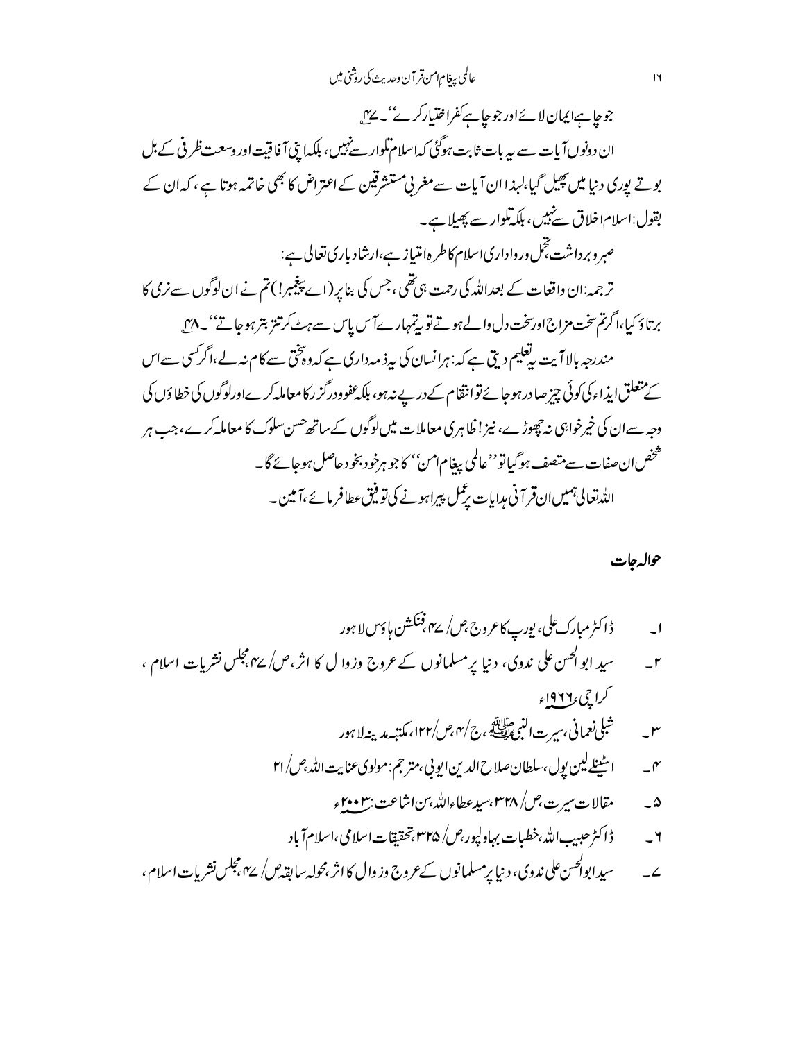## عالمي بيغام امن قر آن وحديث كي روشني ميں

جوجا ہےایمان لائےاور جوجا ہے کفراختیارکر نے'۔ سے ان دونوں آیات سے یہ بات ثابت ہوگئی کہاسلام تکوار سے نہیں، بلکہا بنی آ فاقیت اور وسعت ظر فی کے بل بوتے پوری دنیا میں پھیل گیا،لہذاان آیات سےمغربی مستشرقین کےاعتراض کا بھی خاتمہ ہوتا ہے ، کہ ان کے بقول:اسلام اخلاق سےنہیں، ہلکہ تلوار سے پھیلا ہے۔ صبر وبرداشت تجل ورواداری اسلام کاطر ہ**امتیاز ہے،ارشاد باری تعالی ہے:** تر جمہ:ان داقعات کے بعداللہ کی رحمت ہی تھی ،جس کی بنا پر (اے پیغمبر!)تم نے ان لوگوں سے نرمی کا برتاؤ كيا،اگرتم تخت مزاج اورسخت دل والے ہوتے تو پیمبہارےآس پاس سے ہٹ کرتتز بتر ہوجاتے''۔ ^" مندرجہ بالاآ بیت رتعلیم دیتی ہے کہ: ہرانسان کی ہہ ذ مہ داری ہے کہ دونختی سے کام نہ لے،اگر کسی سےاس کے متعلق ایذ اءکی کوئی چیز صادر ہوجائے توانقام کےدرپے نہ ہو، بلکہ عفوودرگز رکامعاملہ کرےاورلوگوں کی خطاؤں کی وجہ سےان کی خیرخواہی نہ چھوڑے، نیز! ظاہری معاملات میں لوگوں کے ساتھ حسن سلوک کا معاملہ کرے، جب ہر شخص انءغات سے متصف ہوگیا تو''عالمی بیغام1من'' کاجو ہرخود بخو دحاصل ہوجائے گا۔ اللہ تعالیٰ ہمیں ان قرآنی مدایات پڑ کس پیراہونے کی تو فیق عطافر مائے ،آمین ۔

حواله جات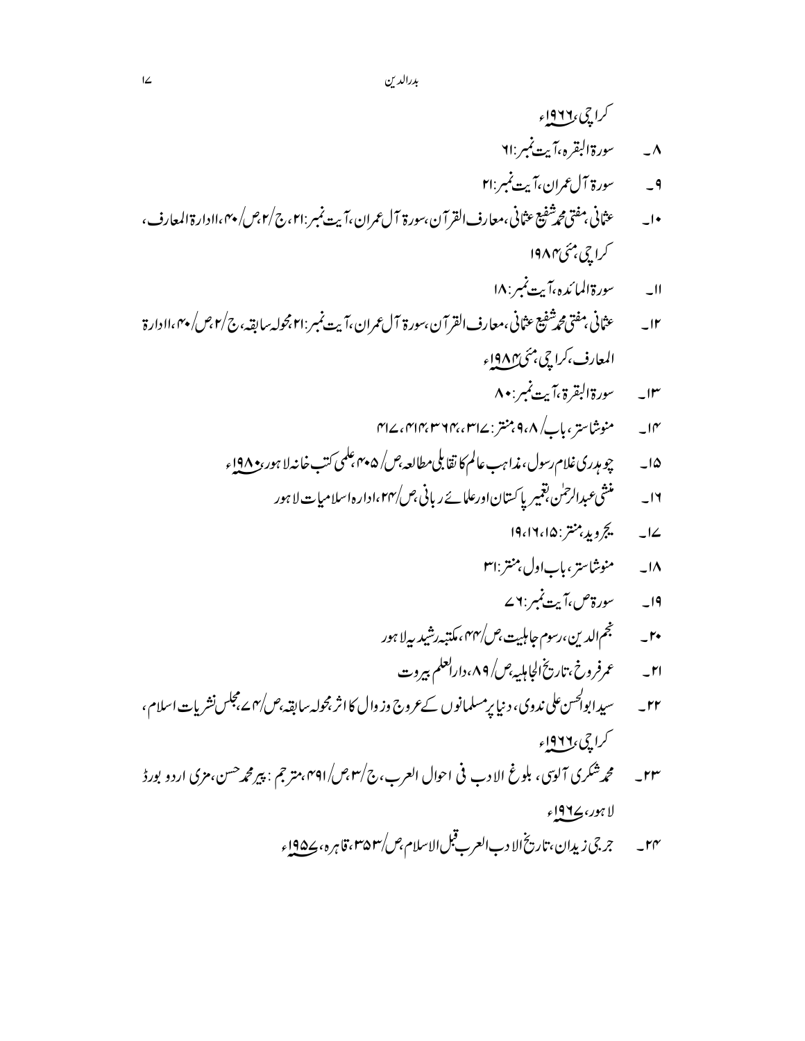- کراچی <u>۱۹۲</u>۲ء سورة البقره ،آيت نمبر :۲۱  $\overline{\Lambda}$ سورة آلءُ ان،آيت نمبر :۲۱  $-9$ عثاني بمفتى محمدٌّ شفيع عثاني ،معارف القرآن ،سورة آل عمران ،آيت نمبر :٢١، ج/٢،ص/ ٢٠،اادارة المعارف ،  $\overline{\phantom{a}}$ کراچی مئی۴۸۴
	- سورة المائده،آيت نمبر : ١٨  $-11$
- عثاني مفتى محرشفيع عثاني ،معارف القرآن ،سورة آل عمران ،آيت نمبر :٢١ مجوله سابقه ،ج/٢ من/ ٢٠ ،اادارة  $-Ir$ المعارف،كراچي بمئي ۱۹۸۴ء
	- ١٣\_ مسعورة البقرة ،آيت نمبر:٨٠
	- منوشاستري باكر/٩،٨ منتر :٢١٢،٢٦٢،٢٣٣ ،٢١٢،٢  $-I^{\prime\prime}$
	- چو مېږري غلام رسول، مذا به په عالم کا نقابلي مطالعه ،ص/ ۴۰۵،علمي کتب خانه لا ہور ،و ۱۹۸ ء  $-10$ 
		- منشی *عبدالرح*لن بقمیریا کستان اورعل<sub>ا نے ریانی *جس\۲۴،اد*ار ہ $\iota$ امیات لا ہور</sub>  $-14$ 
			- يج ويدبنتر : ١٩،١٦،١٩  $\overline{\phantom{a}}$   $\overline{\phantom{a}}$
			- ۱۸\_\_\_\_\_منوشاستري باباول بمنتر :ا۳
			- ا۔ سورۃص،آیت نمبر: ۷ سے
			-
			- عمرفر وخ،تاريخ الجامليه *عن\ ۸۹،دارالعلم* بيروت  $-r1$
- سپډابوالحس علي ندوي، د نيا پرمسلمانوں کےعروج وز وال کااثر مجوله سابقہ،ص/۴ ےمجلس نشر بات اسلام ،  $-rr$ کراچی د۱۹۲ اء
- محمه شکري آلوي، بلوغ الادب في احوال العرب، ج/٣،ص/٣٩١، مترجم : پيرمحمه حسن، مزي اردو بورڈ  $-rr$ لا ہور،ڪ191ء
	- جرجي زيدان ،تاريخ الا دب العرب قبل الإسلام ،ص/٣۵٣، قاهره، ١٩٥٤ء  $-rr$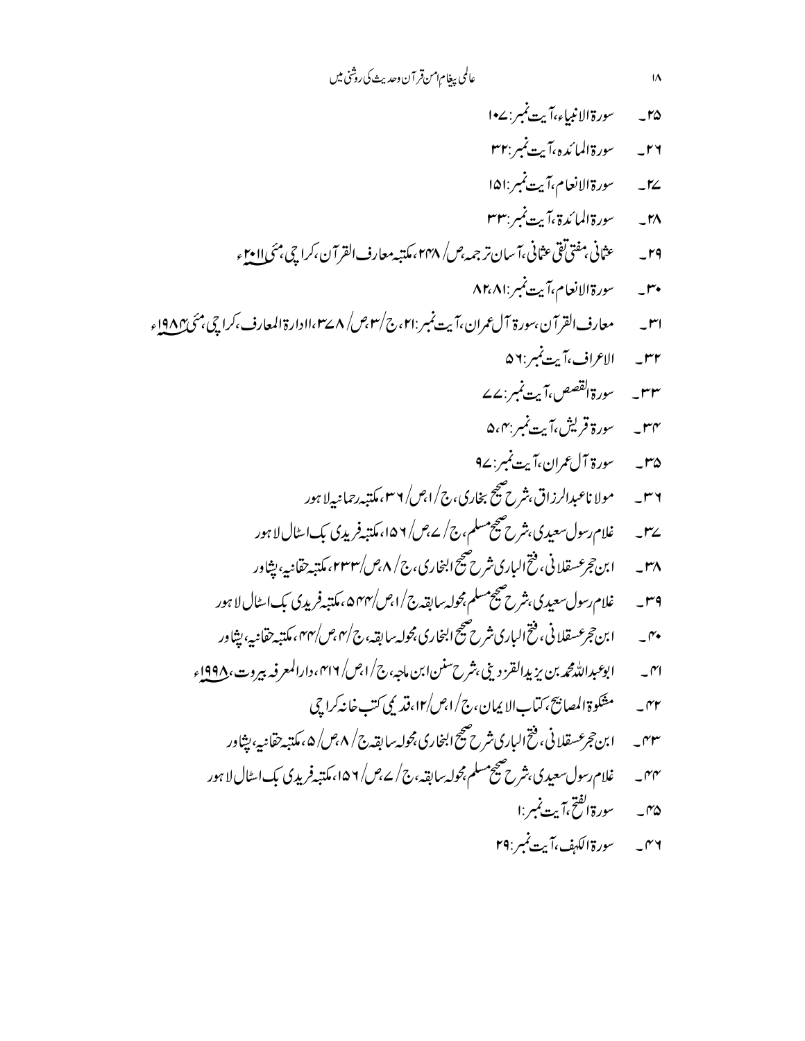#### عالمي بيغام امن قر آن وحديث كي روشني ميں

سورة الانبياء،آيت نمبر : ٤-١  $-10$ 

 $\overline{1\Lambda}$ 

- سورة المائده ،آيت نمير : ٣٢  $-rr$
- سورة الانعام،آيت نمبر :ا۱۵  $-12$
- سورة المائدة ،آبت نمير :۳۳  $-1<sup>n</sup>$
- عثاني مفتى تقى عثاني ،آسان ترجمه *عن\ ٢٢*٨، مكتبه معارف القرآن ،كراچى مئى <u>اا و</u>٢  $-rq$ 
	- سورة الانعام،آيت نمبر:٨٢،٨١  $-r^*$
- معارف القرآن،سورة آل عمران،آيت نمبر :٢١،ج/٣،ج/ ٨ ٢٣،اادارة المعارف،كراچي،مئي ١٩٨٢ء  $-r$ 
	- ٣٢ \_ الاعراف،آيت نمبر :٥٦
	- سورة القصص ،آيت نمبر : ٤٧  $-rr$
	- سورة قريش،آيت نمبر بهه ۵،۴  $-rr$
	- ۳۵\_\_\_\_*سور*ة آل£ران،آيت *نمبر*:۲۷
	- مولا ناعبدالرزاق،شرح صحیح بخاری،ج/امِس/ ۳۶، مکتبه رحمانیه لا ہور  $-14$
	- غلام رسول سعیدی،شرح صحیح مسلم، ج/ ے،ص/ ۱۵۶،مکتبہ فریدی بک اسٹال لاہور  $-r<sub>2</sub>$
	- ابن حجرعسقلانی، فتح الباری شرح صحیح ابنجاری، ج/ ۸،ص/۲۳۲، مکتبه حقانیه، بیثاور  $-r\lambda$
	- غلام رسول سعیدی،شرح صحیح مسلم،محوله سابقه ج/ا،ص/۴۲ ۵،مکتبه فریدی بک اسٹال لا ہور  $-rq$
	- ابن حجرعسقلاني، فتح الباري شرح صحيح ابنجاري مجوله سابقه، ج/۴ مهر/۴۴ ، مكتبه حقانيه، بيثاور  $-\gamma$
	- ابوعبدالله محمد بن يزيدالقرزديني،شرح سنن ابن ماجه، ج/امِس/ ٢١٦، دارالمعرفه بيروت، 199⁄9ء  $-\infty$ 
		- مشكوة المصابيح ،كتاب الإيمان،ج/ا،ص/١٢،قد يمي كتب خانه كراجي  $-rr$
		- ابن حجرعسقلاني، فتح الباري شرح صحيح ابنجاري مجوله سابقه ج/ ۴٫۸ ص/ ۵ ، مكتبه حقانيهِ، بيثاور  $-rr$
		- غلام رسول سعیدی،شرح صحیح مسلم،محولہ سابقہ،ج / ے مِس/ ۱۵۶،ملتبہ فریدی بِک اسٹال لا ہور  $-rr$ سورة الفتح،آيت نمبر :ا  $-r\omega$ 
			-
			- سورة الكهف،آيت نمبر :٢٩  $-\gamma$